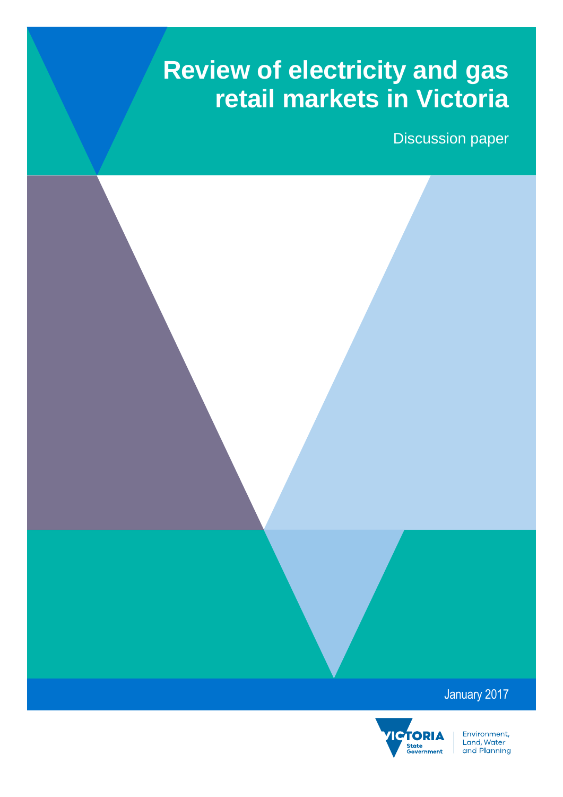# **Review of electricity and gas retail markets in Victoria**

Discussion paper

### January 2017



Environment, Livitonnent,<br>Land, Water<br>and Planning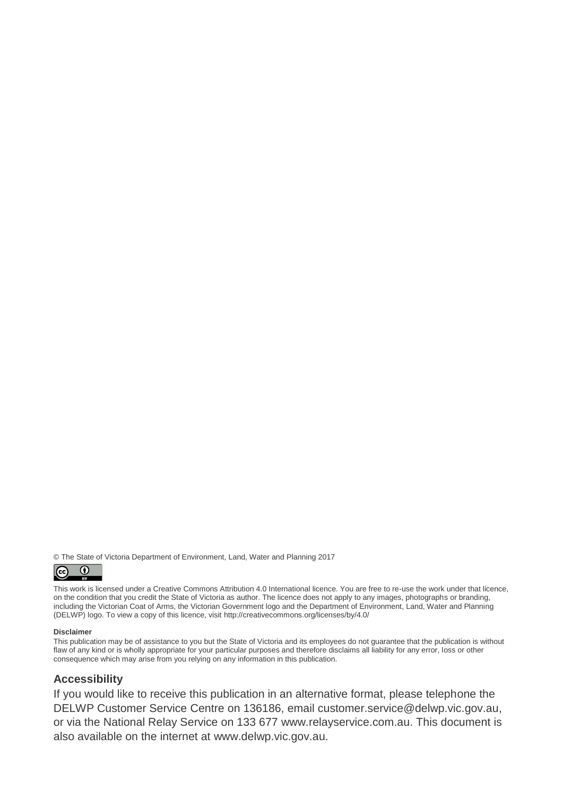© The State of Victoria Department of Environment, Land, Water and Planning 2017



This work is licensed under a Creative Commons Attribution 4.0 International licence. You are free to re-use the work under that licence, on the condition that you credit the State of Victoria as author. The licence does not apply to any images, photographs or branding, including the Victorian Coat of Arms, the Victorian Government logo and the Department of Environment, Land, Water and Planning (DELWP) logo. To view a copy of this licence, visit<http://creativecommons.org/licenses/by/4.0/>

#### **Disclaimer**

This publication may be of assistance to you but the State of Victoria and its employees do not guarantee that the publication is without flaw of any kind or is wholly appropriate for your particular purposes and therefore disclaims all liability for any error, loss or other consequence which may arise from you relying on any information in this publication.

#### **Accessibility**

If you would like to receive this publication in an alternative format, please telephone the DELWP Customer Service Centre on 136186, email [customer.service@delwp.vic.gov.au,](mailto:customer.service@delwp.vic.gov.au) or via the National Relay Service on 133 677 [www.relayservice.com.au.](http://www.relayservice.com.au/) This document is also available on the internet at [www.delwp.vic.gov.au.](http://www.delwp.vic.gov.au/)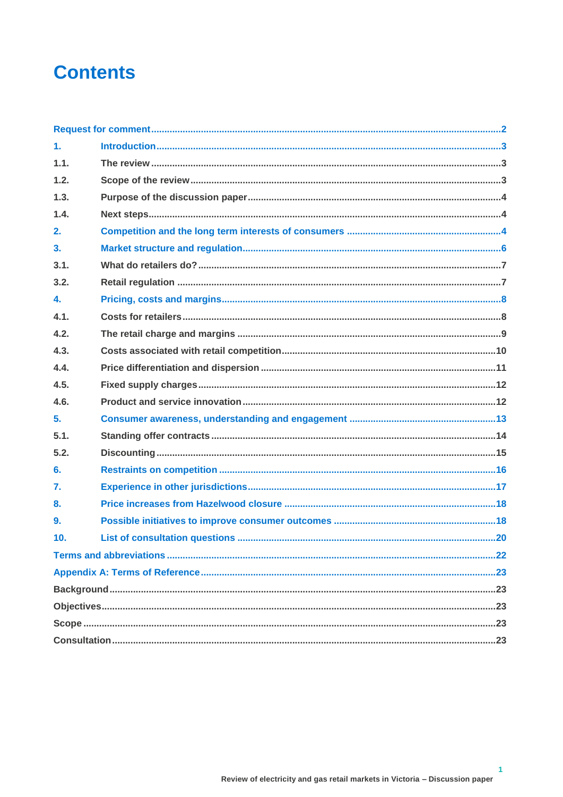## **Contents**

| $\mathbf{1}$ .  |  |  |
|-----------------|--|--|
| 1.1.            |  |  |
| 1.2.            |  |  |
| 1.3.            |  |  |
| 1.4.            |  |  |
| 2.              |  |  |
| 3 <sub>1</sub>  |  |  |
| 3.1.            |  |  |
| 3.2.            |  |  |
| 4.              |  |  |
| 4.1.            |  |  |
| 4.2.            |  |  |
| 4.3.            |  |  |
| 4.4.            |  |  |
| 4.5.            |  |  |
| 4.6.            |  |  |
| 5.              |  |  |
| 5.1.            |  |  |
| 5.2.            |  |  |
| 6.              |  |  |
| 7.              |  |  |
| 8.              |  |  |
| 9.              |  |  |
| 10 <sub>1</sub> |  |  |
|                 |  |  |
|                 |  |  |
|                 |  |  |
|                 |  |  |
|                 |  |  |
|                 |  |  |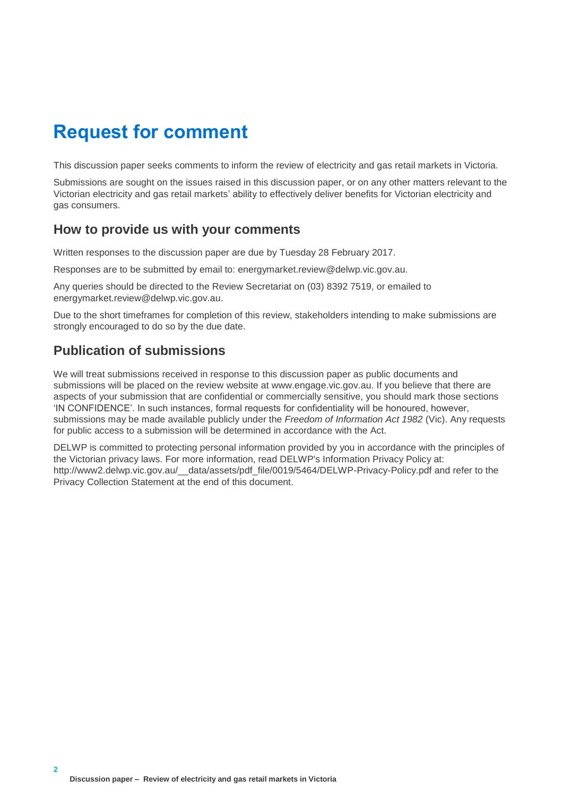### <span id="page-3-0"></span>**Request for comment**

This discussion paper seeks comments to inform the review of electricity and gas retail markets in Victoria.

Submissions are sought on the issues raised in this discussion paper, or on any other matters relevant to the Victorian electricity and gas retail markets' ability to effectively deliver benefits for Victorian electricity and gas consumers.

#### **How to provide us with your comments**

Written responses to the discussion paper are due by Tuesday 28 February 2017.

Responses are to be submitted by email to: energymarket.review@delwp.vic.gov.au.

Any queries should be directed to the Review Secretariat on (03) 8392 7519, or emailed to energymarket.review@delwp.vic.gov.au.

Due to the short timeframes for completion of this review, stakeholders intending to make submissions are strongly encouraged to do so by the due date.

### **Publication of submissions**

We will treat submissions received in response to this discussion paper as public documents and submissions will be placed on the review website at www.engage.vic.gov.au. If you believe that there are aspects of your submission that are confidential or commercially sensitive, you should mark those sections 'IN CONFIDENCE'. In such instances, formal requests for confidentiality will be honoured, however, submissions may be made available publicly under the *Freedom of Information Act 1982* (Vic). Any requests for public access to a submission will be determined in accordance with the Act.

DELWP is committed to protecting personal information provided by you in accordance with the principles of the Victorian privacy laws. For more information, read DELWP's Information Privacy Policy at: [http://www2.delwp.vic.gov.au/\\_\\_data/assets/pdf\\_file/0019/5464/DELWP-Privacy-Policy.pdf](http://www2.delwp.vic.gov.au/__data/assets/pdf_file/0019/5464/DELWP-Privacy-Policy.pdf) and refer to the Privacy Collection Statement at the end of this document.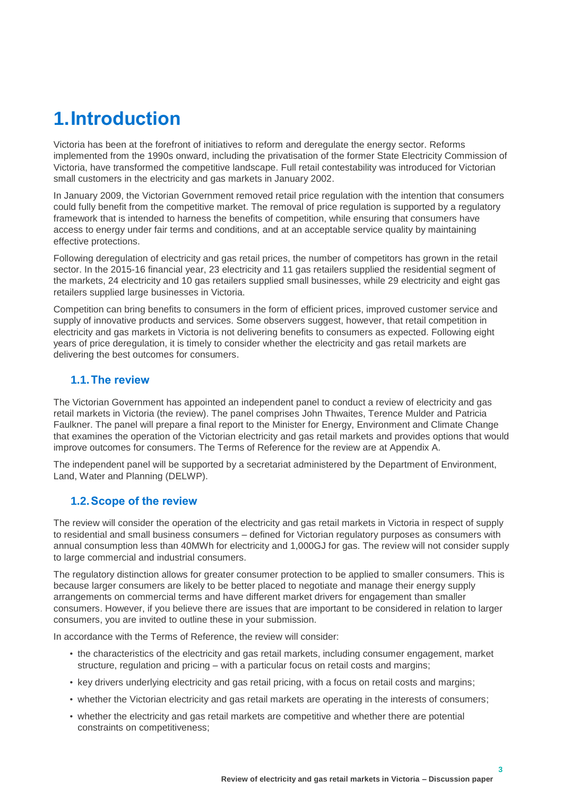# <span id="page-4-0"></span>**1.Introduction**

Victoria has been at the forefront of initiatives to reform and deregulate the energy sector. Reforms implemented from the 1990s onward, including the privatisation of the former State Electricity Commission of Victoria, have transformed the competitive landscape. Full retail contestability was introduced for Victorian small customers in the electricity and gas markets in January 2002.

In January 2009, the Victorian Government removed retail price regulation with the intention that consumers could fully benefit from the competitive market. The removal of price regulation is supported by a regulatory framework that is intended to harness the benefits of competition, while ensuring that consumers have access to energy under fair terms and conditions, and at an acceptable service quality by maintaining effective protections.

Following deregulation of electricity and gas retail prices, the number of competitors has grown in the retail sector. In the 2015-16 financial year, 23 electricity and 11 gas retailers supplied the residential segment of the markets, 24 electricity and 10 gas retailers supplied small businesses, while 29 electricity and eight gas retailers supplied large businesses in Victoria.

Competition can bring benefits to consumers in the form of efficient prices, improved customer service and supply of innovative products and services. Some observers suggest, however, that retail competition in electricity and gas markets in Victoria is not delivering benefits to consumers as expected. Following eight years of price deregulation, it is timely to consider whether the electricity and gas retail markets are delivering the best outcomes for consumers.

#### <span id="page-4-1"></span>**1.1.The review**

The Victorian Government has appointed an independent panel to conduct a review of electricity and gas retail markets in Victoria (the review). The panel comprises John Thwaites, Terence Mulder and Patricia Faulkner. The panel will prepare a final report to the Minister for Energy, Environment and Climate Change that examines the operation of the Victorian electricity and gas retail markets and provides options that would improve outcomes for consumers. The Terms of Reference for the review are at Appendix A.

The independent panel will be supported by a secretariat administered by the Department of Environment, Land, Water and Planning (DELWP).

#### <span id="page-4-2"></span>**1.2.Scope of the review**

The review will consider the operation of the electricity and gas retail markets in Victoria in respect of supply to residential and small business consumers – defined for Victorian regulatory purposes as consumers with annual consumption less than 40MWh for electricity and 1,000GJ for gas. The review will not consider supply to large commercial and industrial consumers.

The regulatory distinction allows for greater consumer protection to be applied to smaller consumers. This is because larger consumers are likely to be better placed to negotiate and manage their energy supply arrangements on commercial terms and have different market drivers for engagement than smaller consumers. However, if you believe there are issues that are important to be considered in relation to larger consumers, you are invited to outline these in your submission.

In accordance with the Terms of Reference, the review will consider:

- the characteristics of the electricity and gas retail markets, including consumer engagement, market structure, regulation and pricing – with a particular focus on retail costs and margins;
- key drivers underlying electricity and gas retail pricing, with a focus on retail costs and margins;
- whether the Victorian electricity and gas retail markets are operating in the interests of consumers;
- whether the electricity and gas retail markets are competitive and whether there are potential constraints on competitiveness;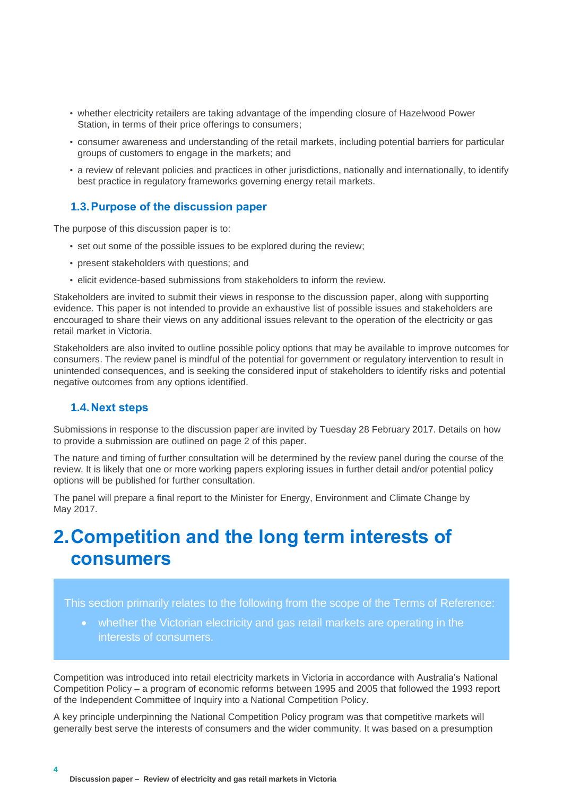- whether electricity retailers are taking advantage of the impending closure of Hazelwood Power Station, in terms of their price offerings to consumers;
- consumer awareness and understanding of the retail markets, including potential barriers for particular groups of customers to engage in the markets; and
- a review of relevant policies and practices in other jurisdictions, nationally and internationally, to identify best practice in regulatory frameworks governing energy retail markets.

#### <span id="page-5-0"></span>**1.3.Purpose of the discussion paper**

The purpose of this discussion paper is to:

- set out some of the possible issues to be explored during the review;
- present stakeholders with questions; and
- elicit evidence-based submissions from stakeholders to inform the review.

Stakeholders are invited to submit their views in response to the discussion paper, along with supporting evidence. This paper is not intended to provide an exhaustive list of possible issues and stakeholders are encouraged to share their views on any additional issues relevant to the operation of the electricity or gas retail market in Victoria.

Stakeholders are also invited to outline possible policy options that may be available to improve outcomes for consumers. The review panel is mindful of the potential for government or regulatory intervention to result in unintended consequences, and is seeking the considered input of stakeholders to identify risks and potential negative outcomes from any options identified.

#### <span id="page-5-1"></span>**1.4.Next steps**

**4**

Submissions in response to the discussion paper are invited by Tuesday 28 February 2017. Details on how to provide a submission are outlined on page 2 of this paper.

The nature and timing of further consultation will be determined by the review panel during the course of the review. It is likely that one or more working papers exploring issues in further detail and/or potential policy options will be published for further consultation.

The panel will prepare a final report to the Minister for Energy, Environment and Climate Change by May 2017.

### <span id="page-5-2"></span>**2.Competition and the long term interests of consumers**

This section primarily relates to the following from the scope of the Terms of Reference:

 whether the Victorian electricity and gas retail markets are operating in the interests of consumers.

Competition was introduced into retail electricity markets in Victoria in accordance with Australia's National Competition Policy – a program of economic reforms between 1995 and 2005 that followed the 1993 report of the Independent Committee of Inquiry into a National Competition Policy.

A key principle underpinning the National Competition Policy program was that competitive markets will generally best serve the interests of consumers and the wider community. It was based on a presumption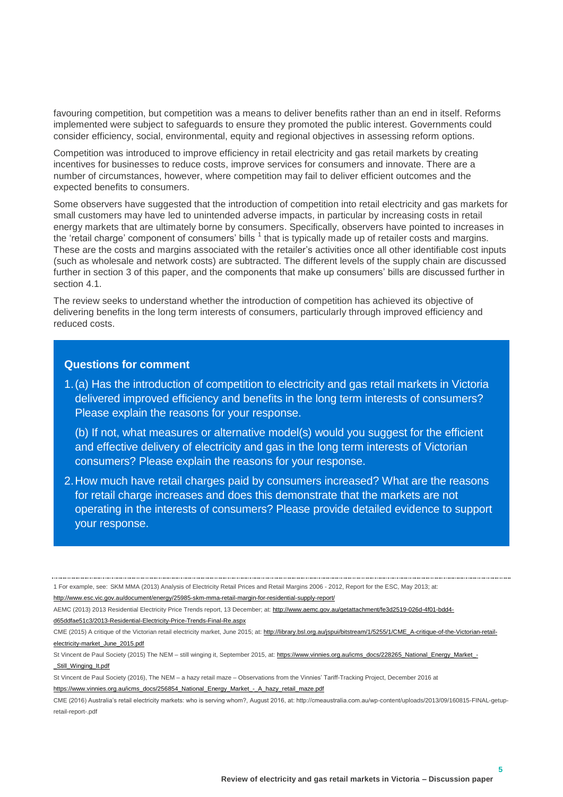favouring competition, but competition was a means to deliver benefits rather than an end in itself. Reforms implemented were subject to safeguards to ensure they promoted the public interest. Governments could consider efficiency, social, environmental, equity and regional objectives in assessing reform options.

Competition was introduced to improve efficiency in retail electricity and gas retail markets by creating incentives for businesses to reduce costs, improve services for consumers and innovate. There are a number of circumstances, however, where competition may fail to deliver efficient outcomes and the expected benefits to consumers.

Some observers have suggested that the introduction of competition into retail electricity and gas markets for small customers may have led to unintended adverse impacts, in particular by increasing costs in retail energy markets that are ultimately borne by consumers. Specifically, observers have pointed to increases in the 'retail charge' component of consumers' bills  $1$  that is typically made up of retailer costs and margins. These are the costs and margins associated with the retailer's activities once all other identifiable cost inputs (such as wholesale and network costs) are subtracted. The different levels of the supply chain are discussed further in section [3](#page-7-0) of this paper, and the components that make up consumers' bills are discussed further in section [4.1.](#page-9-1)

The review seeks to understand whether the introduction of competition has achieved its objective of delivering benefits in the long term interests of consumers, particularly through improved efficiency and reduced costs.

#### **Questions for comment**

<span id="page-6-0"></span>1.(a) Has the introduction of competition to electricity and gas retail markets in Victoria delivered improved efficiency and benefits in the long term interests of consumers? Please explain the reasons for your response.

(b) If not, what measures or alternative model(s) would you suggest for the efficient and effective delivery of electricity and gas in the long term interests of Victorian consumers? Please explain the reasons for your response.

<span id="page-6-1"></span>2.How much have retail charges paid by consumers increased? What are the reasons for retail charge increases and does this demonstrate that the markets are not operating in the interests of consumers? Please provide detailed evidence to support your response.

<sup>1</sup> For example, see: SKM MMA (2013) Analysis of Electricity Retail Prices and Retail Margins 2006 - 2012, Report for the ESC, May 2013; at:

<http://www.esc.vic.gov.au/document/energy/25985-skm-mma-retail-margin-for-residential-supply-report/>

AEMC (2013) 2013 Residential Electricity Price Trends report, 13 December; at[: http://www.aemc.gov.au/getattachment/fe3d2519-026d-4f01-bdd4](http://www.aemc.gov.au/getattachment/fe3d2519-026d-4f01-bdd4-d65ddfae51c3/2013-Residential-Electricity-Price-Trends-Final-Re.aspx) [d65ddfae51c3/2013-Residential-Electricity-Price-Trends-Final-Re.aspx](http://www.aemc.gov.au/getattachment/fe3d2519-026d-4f01-bdd4-d65ddfae51c3/2013-Residential-Electricity-Price-Trends-Final-Re.aspx)

CME (2015) A critique of the Victorian retail electricity market, June 2015; at: [http://library.bsl.org.au/jspui/bitstream/1/5255/1/CME\\_A-critique-of-the-Victorian-retail](http://library.bsl.org.au/jspui/bitstream/1/5255/1/CME_A-critique-of-the-Victorian-retail-electricity-market_June_2015.pdf)[electricity-market\\_June\\_2015.pdf](http://library.bsl.org.au/jspui/bitstream/1/5255/1/CME_A-critique-of-the-Victorian-retail-electricity-market_June_2015.pdf)

St Vincent de Paul Society (2015) The NEM - still winging it, September 2015, at[: https://www.vinnies.org.au/icms\\_docs/228265\\_National\\_Energy\\_Market\\_-](https://www.vinnies.org.au/icms_docs/228265_National_Energy_Market_-_Still_Winging_It.pdf) [\\_Still\\_Winging\\_It.pdf](https://www.vinnies.org.au/icms_docs/228265_National_Energy_Market_-_Still_Winging_It.pdf)

St Vincent de Paul Society (2016), The NEM – a hazy retail maze – Observations from the Vinnies' Tariff-Tracking Project, December 2016 at

[https://www.vinnies.org.au/icms\\_docs/256854\\_National\\_Energy\\_Market\\_-\\_A\\_hazy\\_retail\\_maze.pdf](https://www.vinnies.org.au/icms_docs/256854_National_Energy_Market_-_A_hazy_retail_maze.pdf)

CME (2016) Australia's retail electricity markets: who is serving whom?, August 2016, at: http://cmeaustralia.com.au/wp-content/uploads/2013/09/160815-FINAL-getupretail-report-.pdf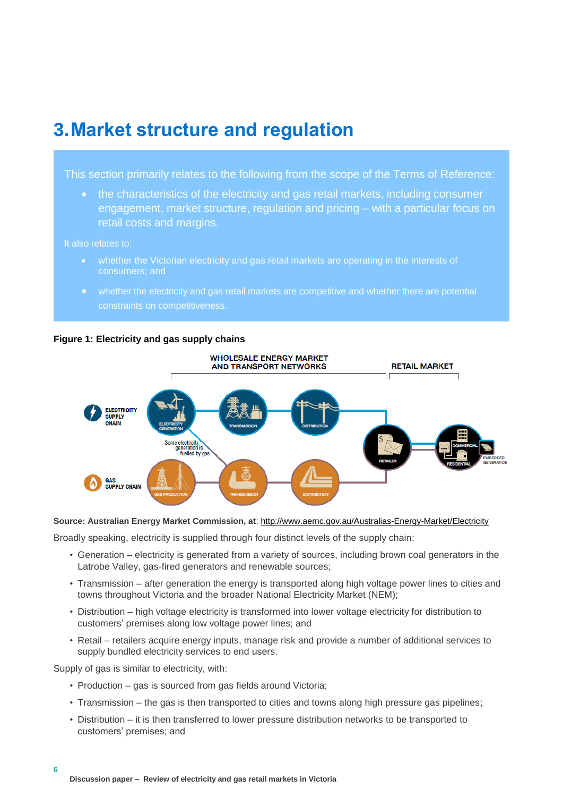### <span id="page-7-0"></span>**3.Market structure and regulation**

This section primarily relates to the following from the scope of the Terms of Reference:

 the characteristics of the electricity and gas retail markets, including consumer engagement, market structure, regulation and pricing – with a particular focus on retail costs and margins.

#### It also relates to:

- whether the Victorian electricity and gas retail markets are operating in the interests of consumers; and
- whether the electricity and gas retail markets are competitive and whether there are potential





**Source: Australian Energy Market Commission, at**:<http://www.aemc.gov.au/Australias-Energy-Market/Electricity>

Broadly speaking, electricity is supplied through four distinct levels of the supply chain:

- Generation electricity is generated from a variety of sources, including brown coal generators in the Latrobe Valley, gas-fired generators and renewable sources;
- Transmission after generation the energy is transported along high voltage power lines to cities and towns throughout Victoria and the broader National Electricity Market (NEM);
- Distribution high voltage electricity is transformed into lower voltage electricity for distribution to customers' premises along low voltage power lines; and
- Retail retailers acquire energy inputs, manage risk and provide a number of additional services to supply bundled electricity services to end users.

Supply of gas is similar to electricity, with:

- Production gas is sourced from gas fields around Victoria;
- Transmission the gas is then transported to cities and towns along high pressure gas pipelines;
- Distribution it is then transferred to lower pressure distribution networks to be transported to customers' premises; and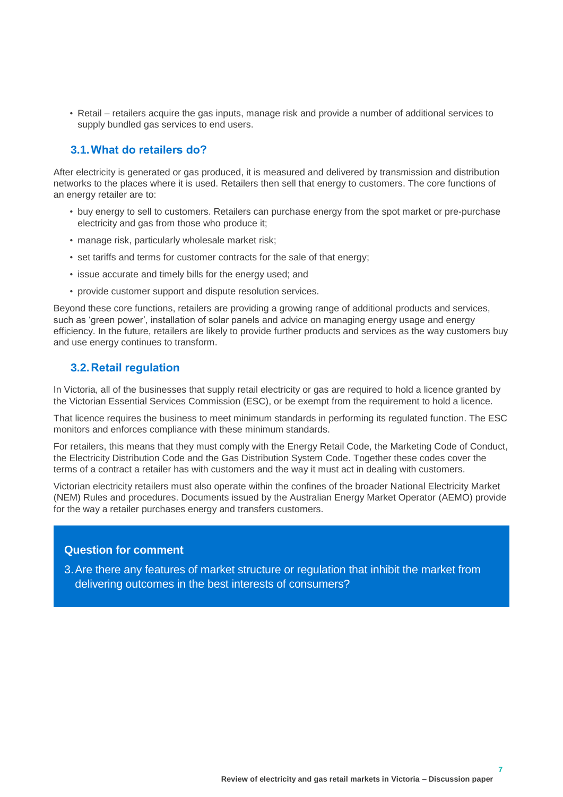• Retail – retailers acquire the gas inputs, manage risk and provide a number of additional services to supply bundled gas services to end users.

#### <span id="page-8-0"></span>**3.1.What do retailers do?**

After electricity is generated or gas produced, it is measured and delivered by transmission and distribution networks to the places where it is used. Retailers then sell that energy to customers. The core functions of an energy retailer are to:

- buy energy to sell to customers. Retailers can purchase energy from the spot market or pre-purchase electricity and gas from those who produce it;
- manage risk, particularly wholesale market risk;
- set tariffs and terms for customer contracts for the sale of that energy;
- issue accurate and timely bills for the energy used; and
- provide customer support and dispute resolution services.

Beyond these core functions, retailers are providing a growing range of additional products and services, such as 'green power', installation of solar panels and advice on managing energy usage and energy efficiency. In the future, retailers are likely to provide further products and services as the way customers buy and use energy continues to transform.

#### <span id="page-8-1"></span>**3.2.Retail regulation**

In Victoria, all of the businesses that supply retail electricity or gas are required to hold a licence granted by the Victorian Essential Services Commission (ESC), or be exempt from the requirement to hold a licence.

That licence requires the business to meet minimum standards in performing its regulated function. The ESC monitors and enforces compliance with these minimum standards.

For retailers, this means that they must comply with the Energy Retail Code, the Marketing Code of Conduct, the Electricity Distribution Code and the Gas Distribution System Code. Together these codes cover the terms of a contract a retailer has with customers and the way it must act in dealing with customers.

Victorian electricity retailers must also operate within the confines of the broader National Electricity Market (NEM) Rules and procedures. Documents issued by the Australian Energy Market Operator (AEMO) provide for the way a retailer purchases energy and transfers customers.

#### **Question for comment**

<span id="page-8-2"></span>3.Are there any features of market structure or regulation that inhibit the market from delivering outcomes in the best interests of consumers?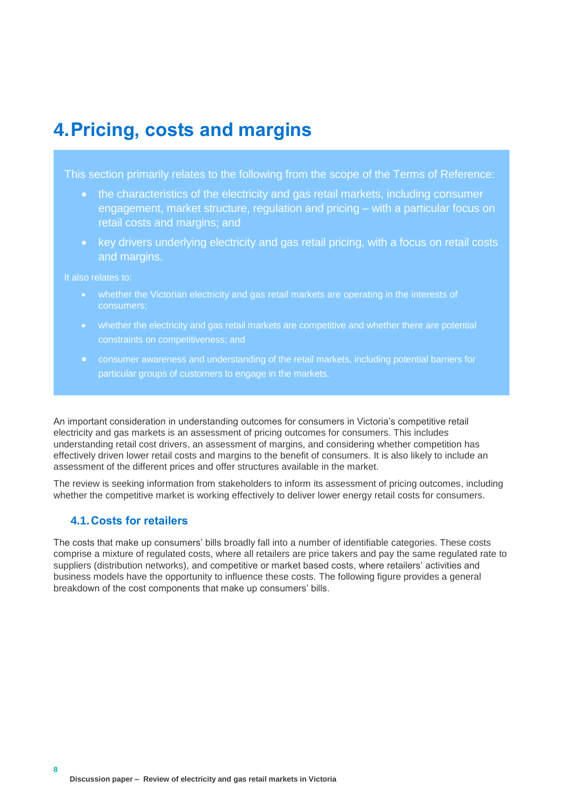### <span id="page-9-0"></span>**4.Pricing, costs and margins**

This section primarily relates to the following from the scope of the Terms of Reference:

- the characteristics of the electricity and gas retail markets, including consumer engagement, market structure, regulation and pricing – with a particular focus on retail costs and margins; and
- key drivers underlying electricity and gas retail pricing, with a focus on retail costs and margins.

It also relates to:

- whether the Victorian electricity and gas retail markets are operating in the interests of consumers;
- whether the electricity and gas retail markets are competitive and whether there are potential constraints on competitiveness; and
- consumer awareness and understanding of the retail markets, including potential barriers for particular groups of customers to engage in the markets.

An important consideration in understanding outcomes for consumers in Victoria's competitive retail electricity and gas markets is an assessment of pricing outcomes for consumers. This includes understanding retail cost drivers, an assessment of margins, and considering whether competition has effectively driven lower retail costs and margins to the benefit of consumers. It is also likely to include an assessment of the different prices and offer structures available in the market.

The review is seeking information from stakeholders to inform its assessment of pricing outcomes, including whether the competitive market is working effectively to deliver lower energy retail costs for consumers.

#### <span id="page-9-1"></span>**4.1.Costs for retailers**

The costs that make up consumers' bills broadly fall into a number of identifiable categories. These costs comprise a mixture of regulated costs, where all retailers are price takers and pay the same regulated rate to suppliers (distribution networks), and competitive or market based costs, where retailers' activities and business models have the opportunity to influence these costs. The following figure provides a general breakdown of the cost components that make up consumers' bills.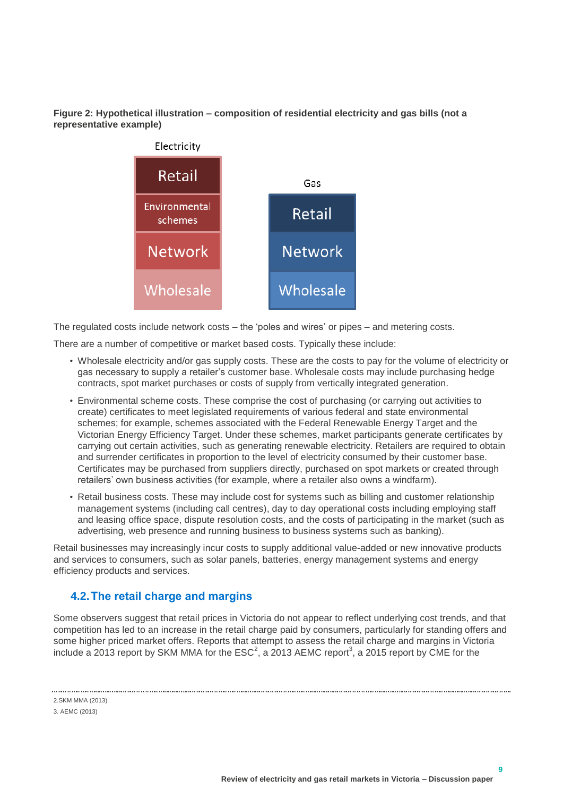**Figure 2: Hypothetical illustration – composition of residential electricity and gas bills (not a representative example)**



The regulated costs include network costs – the 'poles and wires' or pipes – and metering costs.

There are a number of competitive or market based costs. Typically these include:

- Wholesale electricity and/or gas supply costs. These are the costs to pay for the volume of electricity or gas necessary to supply a retailer's customer base. Wholesale costs may include purchasing hedge contracts, spot market purchases or costs of supply from vertically integrated generation.
- Environmental scheme costs. These comprise the cost of purchasing (or carrying out activities to create) certificates to meet legislated requirements of various federal and state environmental schemes; for example, schemes associated with the Federal Renewable Energy Target and the Victorian Energy Efficiency Target. Under these schemes, market participants generate certificates by carrying out certain activities, such as generating renewable electricity. Retailers are required to obtain and surrender certificates in proportion to the level of electricity consumed by their customer base. Certificates may be purchased from suppliers directly, purchased on spot markets or created through retailers' own business activities (for example, where a retailer also owns a windfarm).
- Retail business costs. These may include cost for systems such as billing and customer relationship management systems (including call centres), day to day operational costs including employing staff and leasing office space, dispute resolution costs, and the costs of participating in the market (such as advertising, web presence and running business to business systems such as banking).

Retail businesses may increasingly incur costs to supply additional value-added or new innovative products and services to consumers, such as solar panels, batteries, energy management systems and energy efficiency products and services.

#### <span id="page-10-0"></span>**4.2.The retail charge and margins**

Some observers suggest that retail prices in Victoria do not appear to reflect underlying cost trends, and that competition has led to an increase in the retail charge paid by consumers, particularly for standing offers and some higher priced market offers. Reports that attempt to assess the retail charge and margins in Victoria include a 2013 report by SKM MMA for the  $\mathsf{ESC}^2$ , a 2013 AEMC report<sup>3</sup>, a 2015 report by CME for the

2.SKM MMA (2013) 3. AEMC (2013)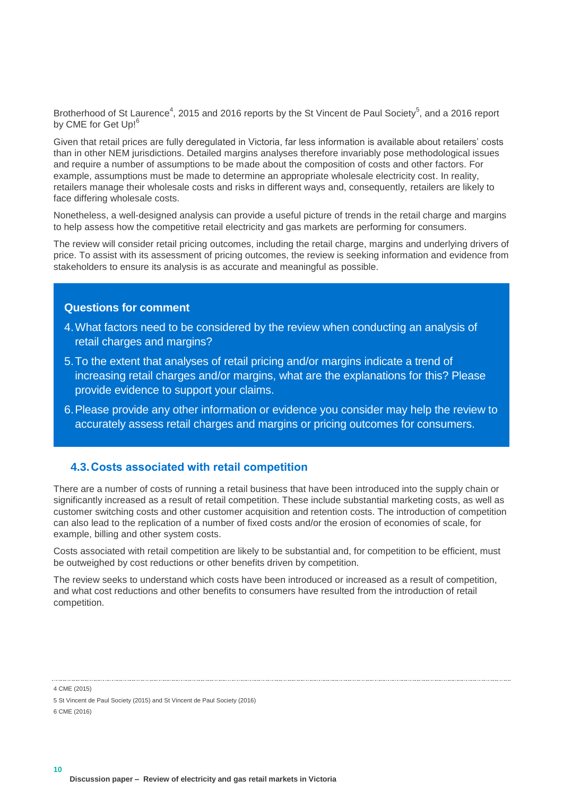Brotherhood of St Laurence<sup>4</sup>, 2015 and 2016 reports by the St Vincent de Paul Society<sup>5</sup>, and a 2016 report by CME for Get Up!<sup>6</sup>

Given that retail prices are fully deregulated in Victoria, far less information is available about retailers' costs than in other NEM jurisdictions. Detailed margins analyses therefore invariably pose methodological issues and require a number of assumptions to be made about the composition of costs and other factors. For example, assumptions must be made to determine an appropriate wholesale electricity cost. In reality, retailers manage their wholesale costs and risks in different ways and, consequently, retailers are likely to face differing wholesale costs.

Nonetheless, a well-designed analysis can provide a useful picture of trends in the retail charge and margins to help assess how the competitive retail electricity and gas markets are performing for consumers.

The review will consider retail pricing outcomes, including the retail charge, margins and underlying drivers of price. To assist with its assessment of pricing outcomes, the review is seeking information and evidence from stakeholders to ensure its analysis is as accurate and meaningful as possible.

#### **Questions for comment**

- <span id="page-11-1"></span>4.What factors need to be considered by the review when conducting an analysis of retail charges and margins?
- <span id="page-11-2"></span>5.To the extent that analyses of retail pricing and/or margins indicate a trend of increasing retail charges and/or margins, what are the explanations for this? Please provide evidence to support your claims.
- <span id="page-11-3"></span>6.Please provide any other information or evidence you consider may help the review to accurately assess retail charges and margins or pricing outcomes for consumers.

#### <span id="page-11-0"></span>**4.3.Costs associated with retail competition**

There are a number of costs of running a retail business that have been introduced into the supply chain or significantly increased as a result of retail competition. These include substantial marketing costs, as well as customer switching costs and other customer acquisition and retention costs. The introduction of competition can also lead to the replication of a number of fixed costs and/or the erosion of economies of scale, for example, billing and other system costs.

Costs associated with retail competition are likely to be substantial and, for competition to be efficient, must be outweighed by cost reductions or other benefits driven by competition.

The review seeks to understand which costs have been introduced or increased as a result of competition, and what cost reductions and other benefits to consumers have resulted from the introduction of retail competition.

4 CME (2015)

6 CME (2016)

<sup>5</sup> St Vincent de Paul Society (2015) and St Vincent de Paul Society (2016)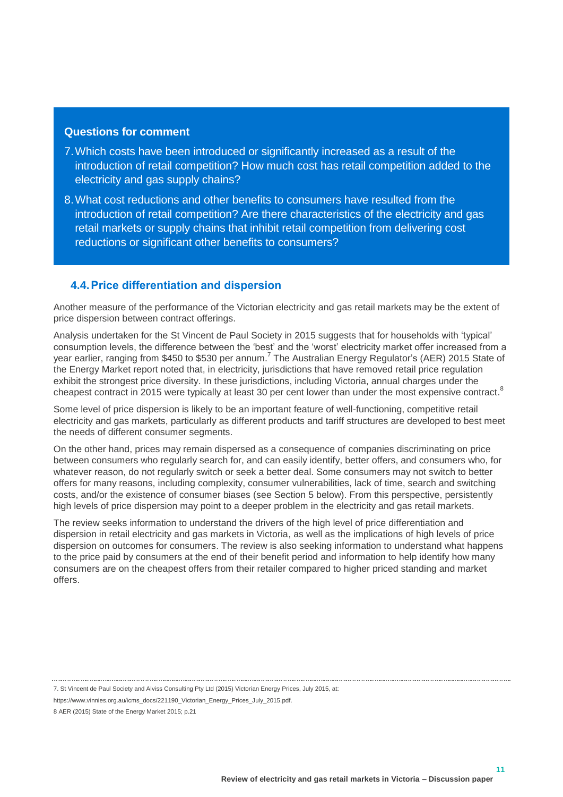#### **Questions for comment**

- <span id="page-12-1"></span>7.Which costs have been introduced or significantly increased as a result of the introduction of retail competition? How much cost has retail competition added to the electricity and gas supply chains?
- <span id="page-12-2"></span>8.What cost reductions and other benefits to consumers have resulted from the introduction of retail competition? Are there characteristics of the electricity and gas retail markets or supply chains that inhibit retail competition from delivering cost reductions or significant other benefits to consumers?

#### <span id="page-12-0"></span>**4.4.Price differentiation and dispersion**

Another measure of the performance of the Victorian electricity and gas retail markets may be the extent of price dispersion between contract offerings.

Analysis undertaken for the St Vincent de Paul Society in 2015 suggests that for households with 'typical' consumption levels, the difference between the 'best' and the 'worst' electricity market offer increased from a year earlier, ranging from \$450 to \$530 per annum.<sup>7</sup> The Australian Energy Regulator's (AER) 2015 State of the Energy Market report noted that, in electricity, jurisdictions that have removed retail price regulation exhibit the strongest price diversity. In these jurisdictions, including Victoria, annual charges under the cheapest contract in 2015 were typically at least 30 per cent lower than under the most expensive contract.<sup>8</sup>

Some level of price dispersion is likely to be an important feature of well-functioning, competitive retail electricity and gas markets, particularly as different products and tariff structures are developed to best meet the needs of different consumer segments.

On the other hand, prices may remain dispersed as a consequence of companies discriminating on price between consumers who regularly search for, and can easily identify, better offers, and consumers who, for whatever reason, do not regularly switch or seek a better deal. Some consumers may not switch to better offers for many reasons, including complexity, consumer vulnerabilities, lack of time, search and switching costs, and/or the existence of consumer biases (see Section 5 below). From this perspective, persistently high levels of price dispersion may point to a deeper problem in the electricity and gas retail markets.

The review seeks information to understand the drivers of the high level of price differentiation and dispersion in retail electricity and gas markets in Victoria, as well as the implications of high levels of price dispersion on outcomes for consumers. The review is also seeking information to understand what happens to the price paid by consumers at the end of their benefit period and information to help identify how many consumers are on the cheapest offers from their retailer compared to higher priced standing and market offers.

<sup>7.</sup> St Vincent de Paul Society and Alviss Consulting Pty Ltd (2015) Victorian Energy Prices, July 2015, at:

https://www.vinnies.org.au/icms\_docs/221190\_Victorian\_Energy\_Prices\_July\_2015.pdf.

<sup>8</sup> AER (2015) State of the Energy Market 2015; p.21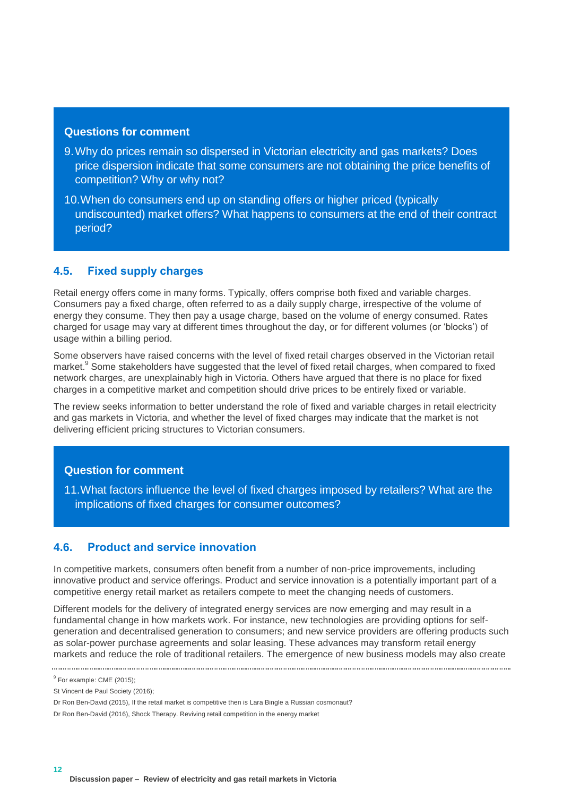#### **Questions for comment**

- <span id="page-13-2"></span>9.Why do prices remain so dispersed in Victorian electricity and gas markets? Does price dispersion indicate that some consumers are not obtaining the price benefits of competition? Why or why not?
- <span id="page-13-3"></span>10.When do consumers end up on standing offers or higher priced (typically undiscounted) market offers? What happens to consumers at the end of their contract period?

#### <span id="page-13-0"></span>**4.5. Fixed supply charges**

Retail energy offers come in many forms. Typically, offers comprise both fixed and variable charges. Consumers pay a fixed charge, often referred to as a daily supply charge, irrespective of the volume of energy they consume. They then pay a usage charge, based on the volume of energy consumed. Rates charged for usage may vary at different times throughout the day, or for different volumes (or 'blocks') of usage within a billing period.

Some observers have raised concerns with the level of fixed retail charges observed in the Victorian retail market.<sup>9</sup> Some stakeholders have suggested that the level of fixed retail charges, when compared to fixed network charges, are unexplainably high in Victoria. Others have argued that there is no place for fixed charges in a competitive market and competition should drive prices to be entirely fixed or variable.

The review seeks information to better understand the role of fixed and variable charges in retail electricity and gas markets in Victoria, and whether the level of fixed charges may indicate that the market is not delivering efficient pricing structures to Victorian consumers.

#### **Question for comment**

<span id="page-13-4"></span>11.What factors influence the level of fixed charges imposed by retailers? What are the implications of fixed charges for consumer outcomes?

#### <span id="page-13-1"></span>**4.6. Product and service innovation**

In competitive markets, consumers often benefit from a number of non-price improvements, including innovative product and service offerings. Product and service innovation is a potentially important part of a competitive energy retail market as retailers compete to meet the changing needs of customers.

Different models for the delivery of integrated energy services are now emerging and may result in a fundamental change in how markets work. For instance, new technologies are providing options for selfgeneration and decentralised generation to consumers; and new service providers are offering products such as solar-power purchase agreements and solar leasing. These advances may transform retail energy markets and reduce the role of traditional retailers. The emergence of new business models may also create

<sup>&</sup>lt;sup>9</sup> For example: CME (2015);

St Vincent de Paul Society (2016);

Dr Ron Ben-David (2015), If the retail market is competitive then is Lara Bingle a Russian cosmonaut?

Dr Ron Ben-David (2016), Shock Therapy. Reviving retail competition in the energy market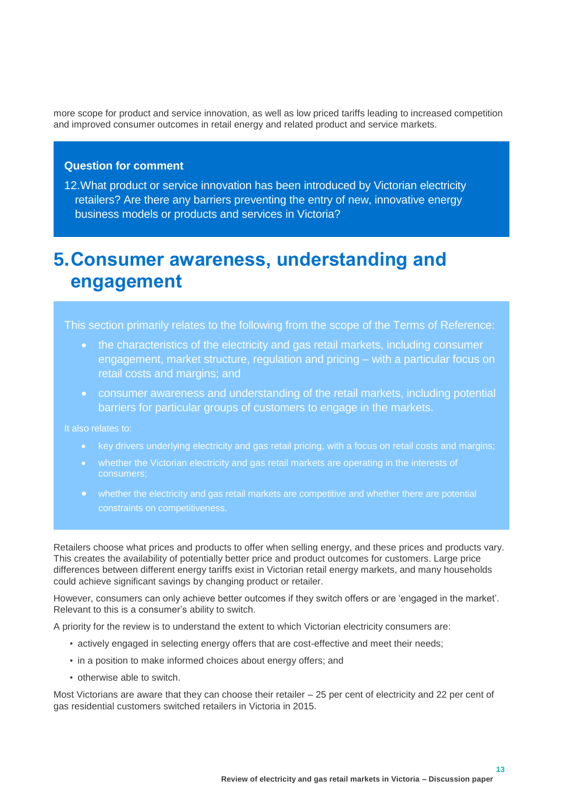more scope for product and service innovation, as well as low priced tariffs leading to increased competition and improved consumer outcomes in retail energy and related product and service markets.

#### **Question for comment**

<span id="page-14-1"></span>12.What product or service innovation has been introduced by Victorian electricity retailers? Are there any barriers preventing the entry of new, innovative energy business models or products and services in Victoria?

### <span id="page-14-0"></span>**5.Consumer awareness, understanding and engagement**

This section primarily relates to the following from the scope of the Terms of Reference:

- the characteristics of the electricity and gas retail markets, including consumer engagement, market structure, regulation and pricing – with a particular focus on retail costs and margins; and
- consumer awareness and understanding of the retail markets, including potential barriers for particular groups of customers to engage in the markets.

- key drivers underlying electricity and gas retail pricing, with a focus on retail costs and margins;
- whether the Victorian electricity and gas retail markets are operating in the interests of consumers;
- whether the electricity and gas retail markets are competitive and whether there are potential constraints on competitiveness.

Retailers choose what prices and products to offer when selling energy, and these prices and products vary. This creates the availability of potentially better price and product outcomes for customers. Large price differences between different energy tariffs exist in Victorian retail energy markets, and many households could achieve significant savings by changing product or retailer.

However, consumers can only achieve better outcomes if they switch offers or are 'engaged in the market'. Relevant to this is a consumer's ability to switch.

A priority for the review is to understand the extent to which Victorian electricity consumers are:

- actively engaged in selecting energy offers that are cost-effective and meet their needs;
- in a position to make informed choices about energy offers; and
- otherwise able to switch.

Most Victorians are aware that they can choose their retailer – 25 per cent of electricity and 22 per cent of gas residential customers switched retailers in Victoria in 2015.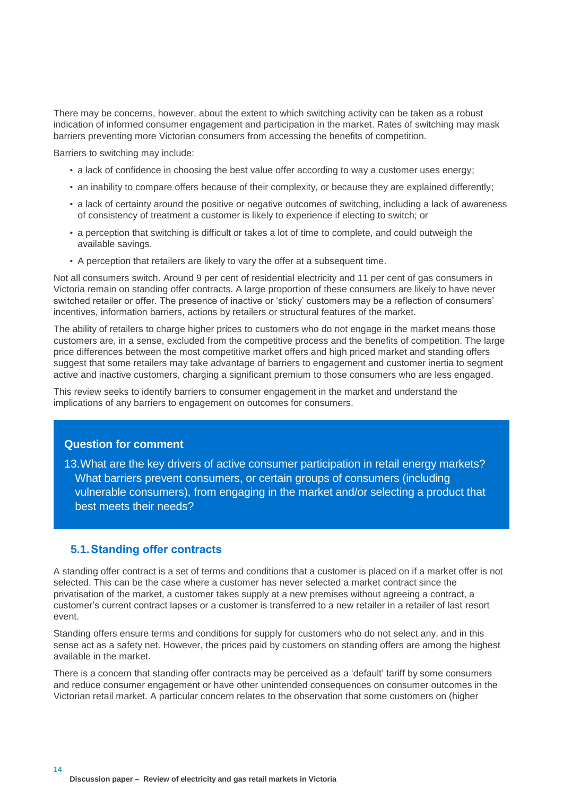There may be concerns, however, about the extent to which switching activity can be taken as a robust indication of informed consumer engagement and participation in the market. Rates of switching may mask barriers preventing more Victorian consumers from accessing the benefits of competition.

Barriers to switching may include:

- a lack of confidence in choosing the best value offer according to way a customer uses energy;
- an inability to compare offers because of their complexity, or because they are explained differently;
- a lack of certainty around the positive or negative outcomes of switching, including a lack of awareness of consistency of treatment a customer is likely to experience if electing to switch; or
- a perception that switching is difficult or takes a lot of time to complete, and could outweigh the available savings.
- A perception that retailers are likely to vary the offer at a subsequent time.

Not all consumers switch. Around 9 per cent of residential electricity and 11 per cent of gas consumers in Victoria remain on standing offer contracts. A large proportion of these consumers are likely to have never switched retailer or offer. The presence of inactive or 'sticky' customers may be a reflection of consumers' incentives, information barriers, actions by retailers or structural features of the market.

The ability of retailers to charge higher prices to customers who do not engage in the market means those customers are, in a sense, excluded from the competitive process and the benefits of competition. The large price differences between the most competitive market offers and high priced market and standing offers suggest that some retailers may take advantage of barriers to engagement and customer inertia to segment active and inactive customers, charging a significant premium to those consumers who are less engaged.

This review seeks to identify barriers to consumer engagement in the market and understand the implications of any barriers to engagement on outcomes for consumers.

#### **Question for comment**

<span id="page-15-1"></span>13.What are the key drivers of active consumer participation in retail energy markets? What barriers prevent consumers, or certain groups of consumers (including vulnerable consumers), from engaging in the market and/or selecting a product that best meets their needs?

#### <span id="page-15-0"></span>**5.1.Standing offer contracts**

**14**

A standing offer contract is a set of terms and conditions that a customer is placed on if a market offer is not selected. This can be the case where a customer has never selected a market contract since the privatisation of the market, a customer takes supply at a new premises without agreeing a contract, a customer's current contract lapses or a customer is transferred to a new retailer in a retailer of last resort event.

Standing offers ensure terms and conditions for supply for customers who do not select any, and in this sense act as a safety net. However, the prices paid by customers on standing offers are among the highest available in the market.

There is a concern that standing offer contracts may be perceived as a 'default' tariff by some consumers and reduce consumer engagement or have other unintended consequences on consumer outcomes in the Victorian retail market. A particular concern relates to the observation that some customers on (higher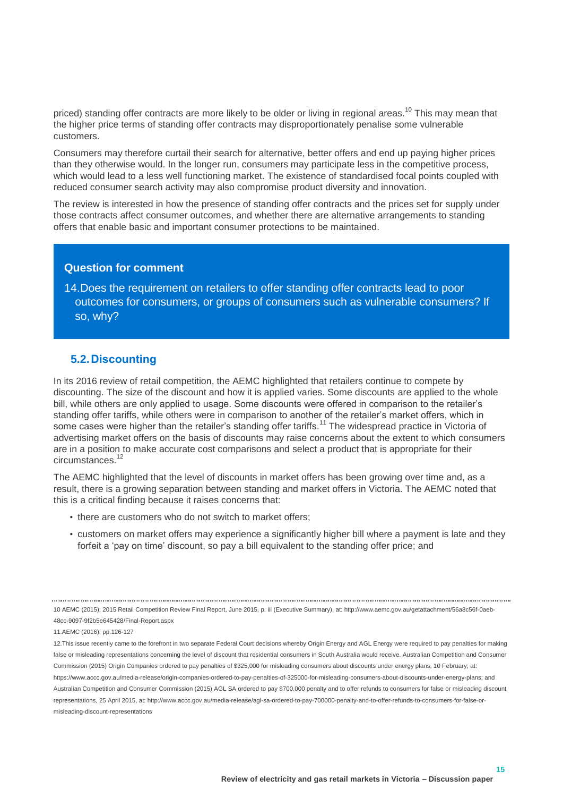priced) standing offer contracts are more likely to be older or living in regional areas.<sup>10</sup> This may mean that the higher price terms of standing offer contracts may disproportionately penalise some vulnerable customers.

Consumers may therefore curtail their search for alternative, better offers and end up paying higher prices than they otherwise would. In the longer run, consumers may participate less in the competitive process, which would lead to a less well functioning market. The existence of standardised focal points coupled with reduced consumer search activity may also compromise product diversity and innovation.

The review is interested in how the presence of standing offer contracts and the prices set for supply under those contracts affect consumer outcomes, and whether there are alternative arrangements to standing offers that enable basic and important consumer protections to be maintained.

#### **Question for comment**

<span id="page-16-1"></span>14.Does the requirement on retailers to offer standing offer contracts lead to poor outcomes for consumers, or groups of consumers such as vulnerable consumers? If so, why?

#### <span id="page-16-0"></span>**5.2.Discounting**

In its 2016 review of retail competition, the AEMC highlighted that retailers continue to compete by discounting. The size of the discount and how it is applied varies. Some discounts are applied to the whole bill, while others are only applied to usage. Some discounts were offered in comparison to the retailer's standing offer tariffs, while others were in comparison to another of the retailer's market offers, which in some cases were higher than the retailer's standing offer tariffs.<sup>11</sup> The widespread practice in Victoria of advertising market offers on the basis of discounts may raise concerns about the extent to which consumers are in a position to make accurate cost comparisons and select a product that is appropriate for their circumstances.<sup>12</sup>

The AEMC highlighted that the level of discounts in market offers has been growing over time and, as a result, there is a growing separation between standing and market offers in Victoria. The AEMC noted that this is a critical finding because it raises concerns that:

- there are customers who do not switch to market offers;
- customers on market offers may experience a significantly higher bill where a payment is late and they forfeit a 'pay on time' discount, so pay a bill equivalent to the standing offer price; and

10 AEMC (2015); 2015 Retail Competition Review Final Report, June 2015, p. iii (Executive Summary), at: http://www.aemc.gov.au/getattachment/56a8c56f-0aeb-48cc-9097-9f2b5e645428/Final-Report.aspx

11.AEMC (2016); pp.126-127

<sup>12.</sup>This issue recently came to the forefront in two separate Federal Court decisions whereby Origin Energy and AGL Energy were required to pay penalties for making false or misleading representations concerning the level of discount that residential consumers in South Australia would receive. Australian Competition and Consumer Commission (2015) Origin Companies ordered to pay penalties of \$325,000 for misleading consumers about discounts under energy plans, 10 February; at: https://www.accc.gov.au/media-release/origin-companies-ordered-to-pay-penalties-of-325000-for-misleading-consumers-about-discounts-under-energy-plans; and Australian Competition and Consumer Commission (2015) AGL SA ordered to pay \$700,000 penalty and to offer refunds to consumers for false or misleading discount representations, 25 April 2015, at[: http://www.accc.gov.au/media-release/agl-sa-ordered-to-pay-700000-penalty-and-to-offer-refunds-to-consumers-for-false-or](http://www.accc.gov.au/media-release/agl-sa-ordered-to-pay-700000-penalty-and-to-offer-refunds-to-consumers-for-false-or-misleading-discount-representations)[misleading-discount-representations](http://www.accc.gov.au/media-release/agl-sa-ordered-to-pay-700000-penalty-and-to-offer-refunds-to-consumers-for-false-or-misleading-discount-representations)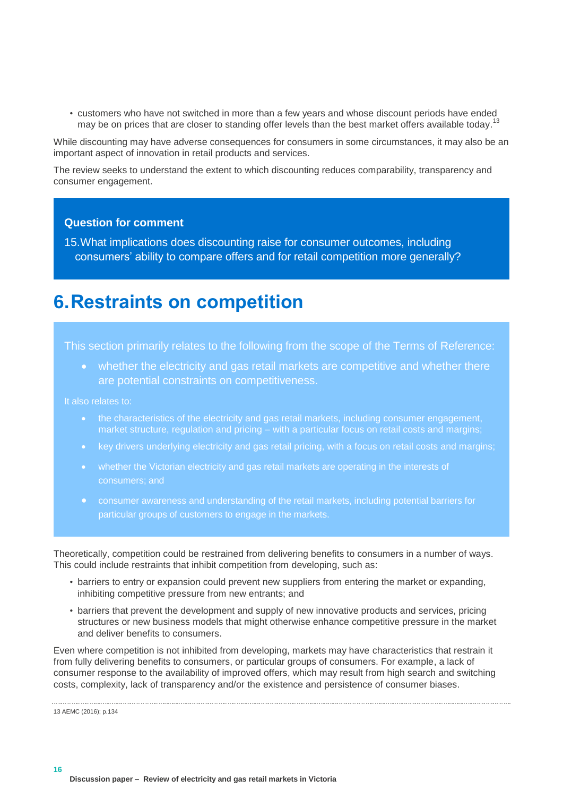• customers who have not switched in more than a few years and whose discount periods have ended may be on prices that are closer to standing offer levels than the best market offers available today.<sup>13</sup>

While discounting may have adverse consequences for consumers in some circumstances, it may also be an important aspect of innovation in retail products and services.

The review seeks to understand the extent to which discounting reduces comparability, transparency and consumer engagement.

#### **Question for comment**

<span id="page-17-1"></span>15.What implications does discounting raise for consumer outcomes, including consumers' ability to compare offers and for retail competition more generally?

### <span id="page-17-0"></span>**6.Restraints on competition**

This section primarily relates to the following from the scope of the Terms of Reference:

 whether the electricity and gas retail markets are competitive and whether there are potential constraints on competitiveness.

It also relates to:

- the characteristics of the electricity and gas retail markets, including consumer engagement, market structure, regulation and pricing – with a particular focus on retail costs and margins;
- key drivers underlying electricity and gas retail pricing, with a focus on retail costs and margins;
- whether the Victorian electricity and gas retail markets are operating in the interests of consumers; and
- consumer awareness and understanding of the retail markets, including potential barriers for particular groups of customers to engage in the markets.

Theoretically, competition could be restrained from delivering benefits to consumers in a number of ways. This could include restraints that inhibit competition from developing, such as:

- barriers to entry or expansion could prevent new suppliers from entering the market or expanding, inhibiting competitive pressure from new entrants; and
- barriers that prevent the development and supply of new innovative products and services, pricing structures or new business models that might otherwise enhance competitive pressure in the market and deliver benefits to consumers.

Even where competition is not inhibited from developing, markets may have characteristics that restrain it from fully delivering benefits to consumers, or particular groups of consumers. For example, a lack of consumer response to the availability of improved offers, which may result from high search and switching costs, complexity, lack of transparency and/or the existence and persistence of consumer biases.

13 AEMC (2016); p.134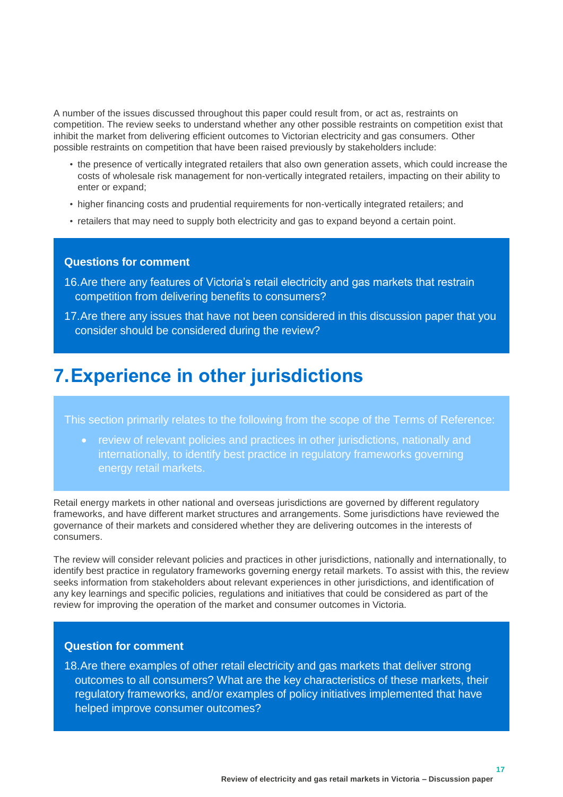A number of the issues discussed throughout this paper could result from, or act as, restraints on competition. The review seeks to understand whether any other possible restraints on competition exist that inhibit the market from delivering efficient outcomes to Victorian electricity and gas consumers. Other possible restraints on competition that have been raised previously by stakeholders include:

- the presence of vertically integrated retailers that also own generation assets, which could increase the costs of wholesale risk management for non-vertically integrated retailers, impacting on their ability to enter or expand;
- higher financing costs and prudential requirements for non-vertically integrated retailers; and
- retailers that may need to supply both electricity and gas to expand beyond a certain point.

#### **Questions for comment**

- <span id="page-18-1"></span>16.Are there any features of Victoria's retail electricity and gas markets that restrain competition from delivering benefits to consumers?
- <span id="page-18-2"></span>17.Are there any issues that have not been considered in this discussion paper that you consider should be considered during the review?

### <span id="page-18-0"></span>**7.Experience in other jurisdictions**

This section primarily relates to the following from the scope of the Terms of Reference:

 review of relevant policies and practices in other jurisdictions, nationally and internationally, to identify best practice in regulatory frameworks governing energy retail markets.

Retail energy markets in other national and overseas jurisdictions are governed by different regulatory frameworks, and have different market structures and arrangements. Some jurisdictions have reviewed the governance of their markets and considered whether they are delivering outcomes in the interests of consumers.

The review will consider relevant policies and practices in other jurisdictions, nationally and internationally, to identify best practice in regulatory frameworks governing energy retail markets. To assist with this, the review seeks information from stakeholders about relevant experiences in other jurisdictions, and identification of any key learnings and specific policies, regulations and initiatives that could be considered as part of the review for improving the operation of the market and consumer outcomes in Victoria.

#### **Question for comment**

<span id="page-18-3"></span>18.Are there examples of other retail electricity and gas markets that deliver strong outcomes to all consumers? What are the key characteristics of these markets, their regulatory frameworks, and/or examples of policy initiatives implemented that have helped improve consumer outcomes?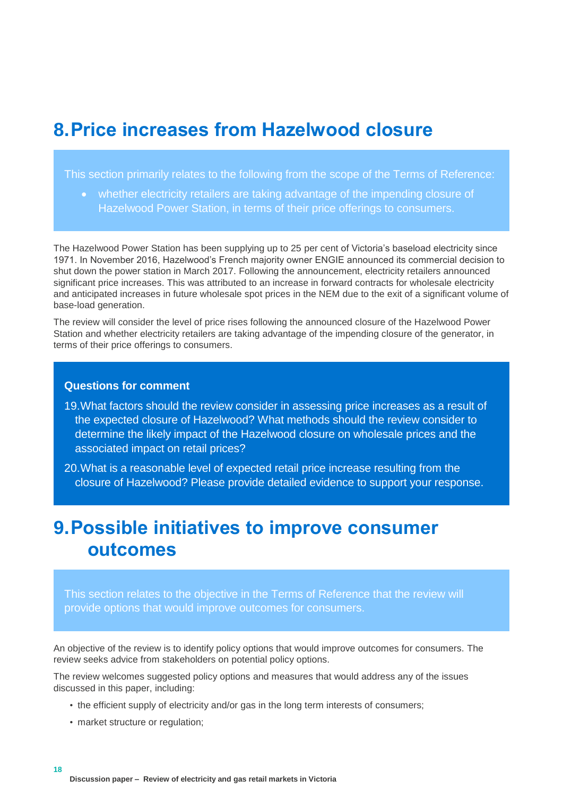### <span id="page-19-0"></span>**8.Price increases from Hazelwood closure**

This section primarily relates to the following from the scope of the Terms of Reference:

 whether electricity retailers are taking advantage of the impending closure of Hazelwood Power Station, in terms of their price offerings to consumers.

The Hazelwood Power Station has been supplying up to 25 per cent of Victoria's baseload electricity since 1971. In November 2016, Hazelwood's French majority owner ENGIE announced its commercial decision to shut down the power station in March 2017. Following the announcement, electricity retailers announced significant price increases. This was attributed to an increase in forward contracts for wholesale electricity and anticipated increases in future wholesale spot prices in the NEM due to the exit of a significant volume of base-load generation.

The review will consider the level of price rises following the announced closure of the Hazelwood Power Station and whether electricity retailers are taking advantage of the impending closure of the generator, in terms of their price offerings to consumers.

#### **Questions for comment**

- <span id="page-19-2"></span>19.What factors should the review consider in assessing price increases as a result of the expected closure of Hazelwood? What methods should the review consider to determine the likely impact of the Hazelwood closure on wholesale prices and the associated impact on retail prices?
- <span id="page-19-3"></span>20.What is a reasonable level of expected retail price increase resulting from the closure of Hazelwood? Please provide detailed evidence to support your response.

### <span id="page-19-1"></span>**9.Possible initiatives to improve consumer outcomes**

This section relates to the objective in the Terms of Reference that the review will provide options that would improve outcomes for consumers.

An objective of the review is to identify policy options that would improve outcomes for consumers. The review seeks advice from stakeholders on potential policy options.

The review welcomes suggested policy options and measures that would address any of the issues discussed in this paper, including:

- the efficient supply of electricity and/or gas in the long term interests of consumers;
- market structure or regulation;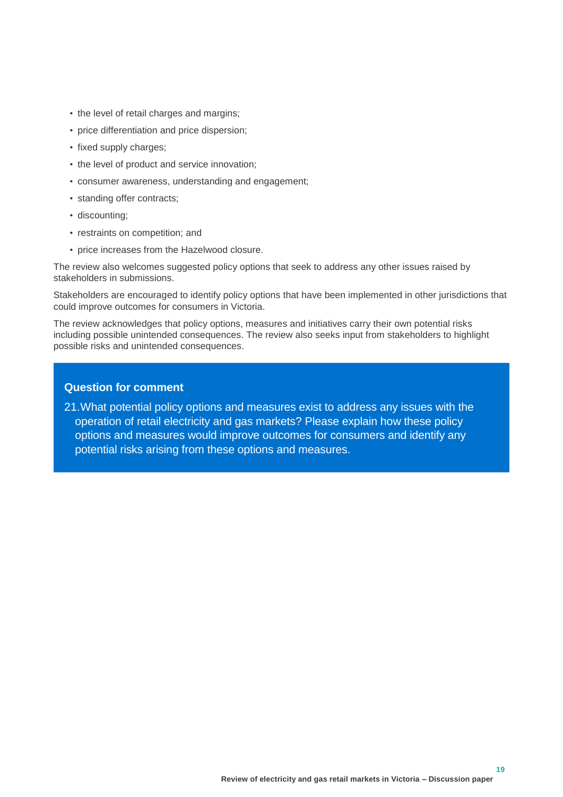- the level of retail charges and margins;
- price differentiation and price dispersion;
- fixed supply charges;
- the level of product and service innovation;
- consumer awareness, understanding and engagement;
- standing offer contracts;
- discounting;
- restraints on competition; and
- price increases from the Hazelwood closure.

The review also welcomes suggested policy options that seek to address any other issues raised by stakeholders in submissions.

Stakeholders are encouraged to identify policy options that have been implemented in other jurisdictions that could improve outcomes for consumers in Victoria.

The review acknowledges that policy options, measures and initiatives carry their own potential risks including possible unintended consequences. The review also seeks input from stakeholders to highlight possible risks and unintended consequences.

#### **Question for comment**

<span id="page-20-0"></span>21.What potential policy options and measures exist to address any issues with the operation of retail electricity and gas markets? Please explain how these policy options and measures would improve outcomes for consumers and identify any potential risks arising from these options and measures.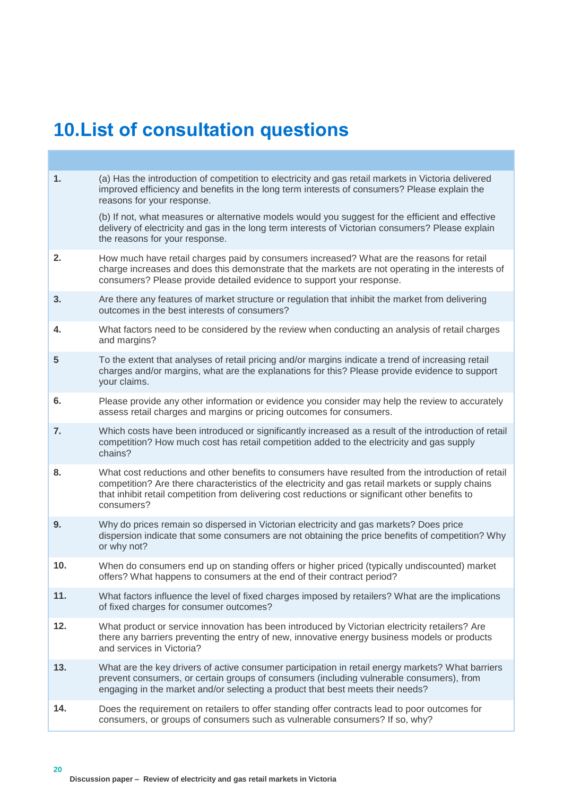### <span id="page-21-0"></span>**10.List of consultation questions**

**1.** [\(a\) Has the introduction of competition to electricity and gas retail markets in Victoria delivered](#page-6-0)  [improved efficiency and benefits in the long term interests of consumers? Please explain the](#page-6-0)  [reasons for your response.](#page-6-0) (b) If not, what measures or alternative models would you suggest for the efficient and effective delivery of electricity and gas in the long term interests of Victorian consumers? Please explain the reasons for your response. **2.** [How much have retail charges paid by consumers increased? What are](#page-6-1) the reasons for retail [charge increases and does this demonstrate that the markets](#page-6-1) are not operating in the interests of [consumers? Please provide detailed evidence to support your response.](#page-6-1) **3.** [Are there any features of market structure or regulation that inhibit](#page-8-2) the market from delivering [outcomes in the best interests of consumers?](#page-8-2) **4.** [What factors need to be considered by the review when conducting an analysis of retail charges](#page-11-1) [and margins?](#page-11-1) **[5](#page-11-2)** [To the extent that analyses of retail pricing and/or margins indicate a trend of increasing retail](#page-11-2)  charges [and/or margins, what are the explanations for this? Please provide evidence to support](#page-11-2)  [your claims.](#page-11-2) **6.** [Please provide any other information or evidence you consider may help the review to accurately](#page-11-3)  assess retail charges [and margins or pricing outcomes for consumers.](#page-11-3) **7.** [Which costs have been introduced or significantly increased as a result of the introduction of retail](#page-12-1)  [competition? How much cost has retail competition added to the electricity and gas supply](#page-12-1)  [chains?](#page-12-1) **8.** [What cost reductions and other benefits to consumers have resulted from the introduction of retail](#page-12-2)  [competition? Are there characteristics of the electricity and gas retail markets or supply chains](#page-12-2)  [that inhibit retail competition from delivering cost reductions or significant other benefits to](#page-12-2)  [consumers?](#page-12-2) **9.** [Why do prices remain so dispersed in Victorian electricity and gas markets? Does price](#page-13-2)  [dispersion indicate that some consumers are not obtaining the price benefits of competition? Why](#page-13-2)  [or why not?](#page-13-2) **10.** [When do consumers end up on standing offers or higher priced \(typically undiscounted\) market](#page-13-3)  [offers? What happens to consumers at the end of their contract period?](#page-13-3) **11.** [What factors influence the level of fixed charges imposed by retailers? What are the implications](#page-13-4)  [of fixed charges for consumer outcomes?](#page-13-4) 12. What [product or service innovation has been introduced by Victorian electricity retailers?](#page-14-1) Are [there any barriers preventing the entry of new, innovative energy business models](#page-14-1) or products [and services](#page-14-1) in Victoria? **13.** [What are the key drivers of active consumer participation in retail energy markets? What barriers](#page-15-1)  [prevent consumers, or certain groups of consumers \(including vulnerable consumers\), from](#page-15-1)  engaging [in the market and/or selecting a product that best meets their needs?](#page-15-1) **14.** Does the requirement on retailers to offer [standing offer contracts lead to poor outcomes for](#page-16-1)  [consumers, or groups of consumers such as vulnerable consumers? If so, why?](#page-16-1)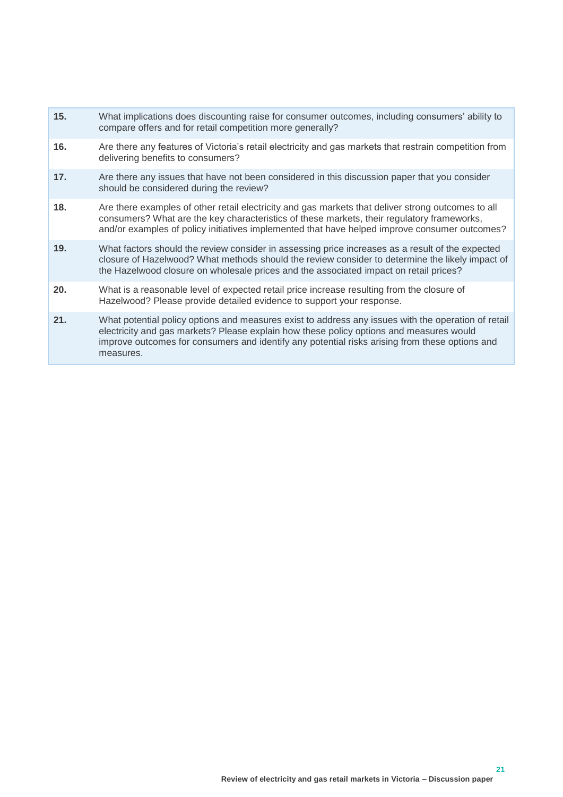- **15.** What implications [does discounting raise for consumer outcomes, including consumers' ability to](#page-17-1)  compare offers and [for retail competition](#page-17-1) more generally?
- **16.** [Are there any features of Victoria's retail electricity and gas markets that restrain competition from](#page-18-1)  [delivering benefits to](#page-18-1) consumers?
- **17.** [Are there any issues that have not been considered in this discussion paper that you consider](#page-18-2)  [should be considered during the review?](#page-18-2)
- **18.** Are there examples of other retail electricity and gas markets [that deliver strong outcomes to all](#page-18-3)  [consumers? What are the key characteristics of these markets, their regulatory frameworks,](#page-18-3) and/or examples [of policy initiatives implemented that have helped improve](#page-18-3) consumer outcomes?
- **19.** [What factors should the review consider in assessing price increases as a result of the expected](#page-19-2)  [closure of Hazelwood? What methods should the review consider to determine the likely impact of](#page-19-2)  [the Hazelwood closure on wholesale prices and the associated](#page-19-2) impact on retail prices?
- **20.** [What is a reasonable level of expected retail price increase resulting from the closure of](#page-19-3)  [Hazelwood? Please provide detailed evidence to support your response.](#page-19-3)
- **21.** What potential policy options [and measures exist to address any issues with the operation of retail](#page-20-0)  [electricity and gas markets? Please explain how these policy options and measures would](#page-20-0)  [improve outcomes for consumers and identify any](#page-20-0) potential risks arising from these options and [measures.](#page-20-0)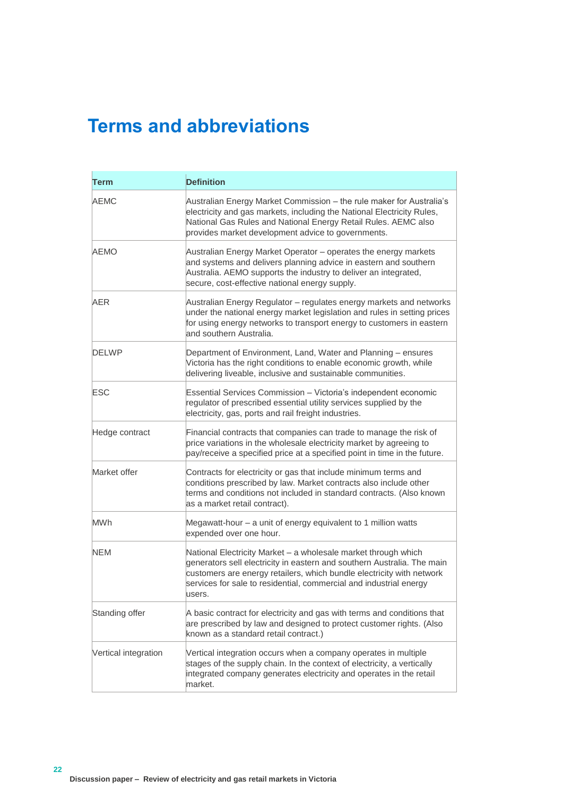# <span id="page-23-0"></span>**Terms and abbreviations**

| <b>Term</b>          | <b>Definition</b>                                                                                                                                                                                                                                                                                  |
|----------------------|----------------------------------------------------------------------------------------------------------------------------------------------------------------------------------------------------------------------------------------------------------------------------------------------------|
| AEMC                 | Australian Energy Market Commission - the rule maker for Australia's<br>electricity and gas markets, including the National Electricity Rules,<br>National Gas Rules and National Energy Retail Rules. AEMC also<br>provides market development advice to governments.                             |
| AEMO                 | Australian Energy Market Operator - operates the energy markets<br>and systems and delivers planning advice in eastern and southern<br>Australia. AEMO supports the industry to deliver an integrated,<br>secure, cost-effective national energy supply.                                           |
| <b>AER</b>           | Australian Energy Regulator - regulates energy markets and networks<br>under the national energy market legislation and rules in setting prices<br>for using energy networks to transport energy to customers in eastern<br>and southern Australia.                                                |
| DELWP                | Department of Environment, Land, Water and Planning - ensures<br>Victoria has the right conditions to enable economic growth, while<br>delivering liveable, inclusive and sustainable communities.                                                                                                 |
| ESC                  | Essential Services Commission - Victoria's independent economic<br>regulator of prescribed essential utility services supplied by the<br>electricity, gas, ports and rail freight industries.                                                                                                      |
| Hedge contract       | Financial contracts that companies can trade to manage the risk of<br>price variations in the wholesale electricity market by agreeing to<br>pay/receive a specified price at a specified point in time in the future.                                                                             |
| Market offer         | Contracts for electricity or gas that include minimum terms and<br>conditions prescribed by law. Market contracts also include other<br>terms and conditions not included in standard contracts. (Also known<br>as a market retail contract).                                                      |
| <b>MWh</b>           | Megawatt-hour - a unit of energy equivalent to 1 million watts<br>expended over one hour.                                                                                                                                                                                                          |
| NEM                  | National Electricity Market - a wholesale market through which<br>generators sell electricity in eastern and southern Australia. The main<br>customers are energy retailers, which bundle electricity with network<br>services for sale to residential, commercial and industrial energy<br>users. |
| Standing offer       | A basic contract for electricity and gas with terms and conditions that<br>are prescribed by law and designed to protect customer rights. (Also<br>known as a standard retail contract.)                                                                                                           |
| Vertical integration | Vertical integration occurs when a company operates in multiple<br>stages of the supply chain. In the context of electricity, a vertically<br>integrated company generates electricity and operates in the retail<br>market.                                                                       |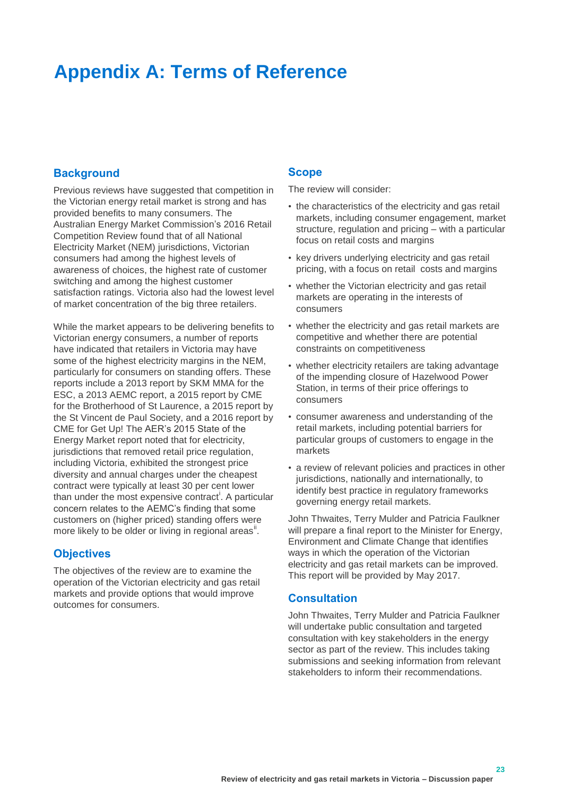### <span id="page-24-0"></span>**Appendix A: Terms of Reference**

#### <span id="page-24-1"></span>**Background**

Previous reviews have suggested that competition in the Victorian energy retail market is strong and has provided benefits to many consumers. The Australian Energy Market Commission's 2016 Retail Competition Review found that of all National Electricity Market (NEM) jurisdictions, Victorian consumers had among the highest levels of awareness of choices, the highest rate of customer switching and among the highest customer satisfaction ratings. Victoria also had the lowest level of market concentration of the big three retailers.

While the market appears to be delivering benefits to Victorian energy consumers, a number of reports have indicated that retailers in Victoria may have some of the highest electricity margins in the NEM, particularly for consumers on standing offers. These reports include a 2013 report by SKM MMA for the ESC, a 2013 AEMC report, a 2015 report by CME for the Brotherhood of St Laurence, a 2015 report by the St Vincent de Paul Society, and a 2016 report by CME for Get Up! The AER's 2015 State of the Energy Market report noted that for electricity, jurisdictions that removed retail price regulation, including Victoria, exhibited the strongest price diversity and annual charges under the cheapest contract were typically at least 30 per cent lower than under the most expensive contract<sup>i</sup>. A particular concern relates to the AEMC's finding that some customers on (higher priced) standing offers were more likely to be older or living in regional areas".

#### <span id="page-24-2"></span>**Objectives**

The objectives of the review are to examine the operation of the Victorian electricity and gas retail markets and provide options that would improve outcomes for consumers.

#### <span id="page-24-3"></span>**Scope**

The review will consider:

- the characteristics of the electricity and gas retail markets, including consumer engagement, market structure, regulation and pricing – with a particular focus on retail costs and margins
- key drivers underlying electricity and gas retail pricing, with a focus on retail costs and margins
- whether the Victorian electricity and gas retail markets are operating in the interests of consumers
- whether the electricity and gas retail markets are competitive and whether there are potential constraints on competitiveness
- whether electricity retailers are taking advantage of the impending closure of Hazelwood Power Station, in terms of their price offerings to consumers
- consumer awareness and understanding of the retail markets, including potential barriers for particular groups of customers to engage in the markets
- a review of relevant policies and practices in other jurisdictions, nationally and internationally, to identify best practice in regulatory frameworks governing energy retail markets.

John Thwaites, Terry Mulder and Patricia Faulkner will prepare a final report to the Minister for Energy, Environment and Climate Change that identifies ways in which the operation of the Victorian electricity and gas retail markets can be improved. This report will be provided by May 2017.

#### <span id="page-24-4"></span>**Consultation**

John Thwaites, Terry Mulder and Patricia Faulkner will undertake public consultation and targeted consultation with key stakeholders in the energy sector as part of the review. This includes taking submissions and seeking information from relevant stakeholders to inform their recommendations.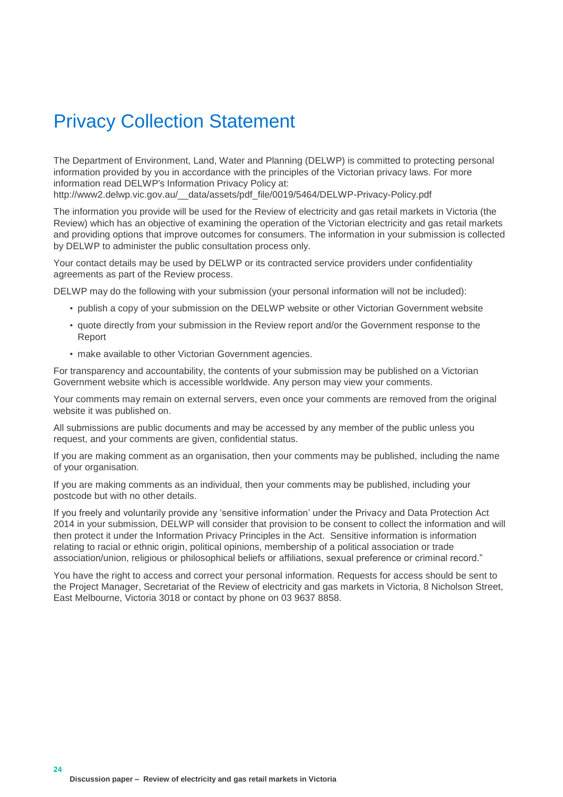### Privacy Collection Statement

The Department of Environment, Land, Water and Planning (DELWP) is committed to protecting personal information provided by you in accordance with the principles of the Victorian privacy laws. For more information read DELWP's Information Privacy Policy at:

[http://www2.delwp.vic.gov.au/\\_\\_data/assets/pdf\\_file/0019/5464/DELWP-Privacy-Policy.pdf](http://www2.delwp.vic.gov.au/__data/assets/pdf_file/0019/5464/DELWP-Privacy-Policy.pdf)

The information you provide will be used for the Review of electricity and gas retail markets in Victoria (the Review) which has an objective of examining the operation of the Victorian electricity and gas retail markets and providing options that improve outcomes for consumers. The information in your submission is collected by DELWP to administer the public consultation process only.

Your contact details may be used by DELWP or its contracted service providers under confidentiality agreements as part of the Review process.

DELWP may do the following with your submission (your personal information will not be included):

- publish a copy of your submission on the DELWP website or other Victorian Government website
- quote directly from your submission in the Review report and/or the Government response to the Report
- make available to other Victorian Government agencies.

For transparency and accountability, the contents of your submission may be published on a Victorian Government website which is accessible worldwide. Any person may view your comments.

Your comments may remain on external servers, even once your comments are removed from the original website it was published on.

All submissions are public documents and may be accessed by any member of the public unless you request, and your comments are given, confidential status.

If you are making comment as an organisation, then your comments may be published, including the name of your organisation.

If you are making comments as an individual, then your comments may be published, including your postcode but with no other details.

If you freely and voluntarily provide any 'sensitive information' under the Privacy and Data Protection Act 2014 in your submission, DELWP will consider that provision to be consent to collect the information and will then protect it under the Information Privacy Principles in the Act. Sensitive information is information relating to racial or ethnic origin, political opinions, membership of a political association or trade association/union, religious or philosophical beliefs or affiliations, sexual preference or criminal record."

You have the right to access and correct your personal information. Requests for access should be sent to the Project Manager, Secretariat of the Review of electricity and gas markets in Victoria, 8 Nicholson Street, East Melbourne, Victoria 3018 or contact by phone on 03 9637 8858.